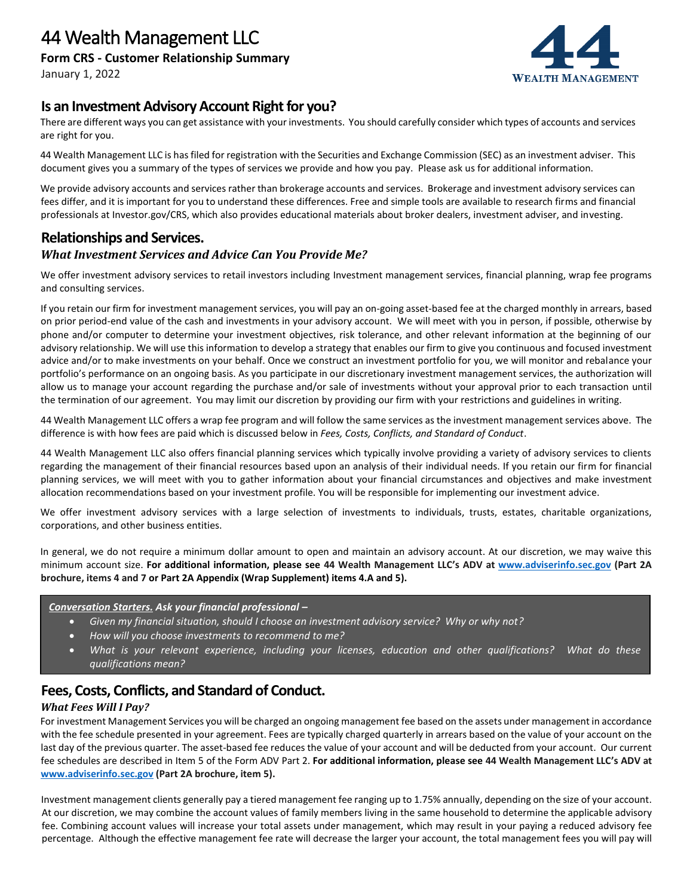

## **Is an Investment Advisory Account Right for you?**

There are different ways you can get assistance with your investments. You should carefully consider which types of accounts and services are right for you.

44 Wealth Management LLC is has filed for registration with the Securities and Exchange Commission (SEC) as an investment adviser. This document gives you a summary of the types of services we provide and how you pay. Please ask us for additional information.

We provide advisory accounts and services rather than brokerage accounts and services. Brokerage and investment advisory services can fees differ, and it is important for you to understand these differences. Free and simple tools are available to research firms and financial professionals at Investor.gov/CRS, which also provides educational materials about broker dealers, investment adviser, and investing.

# **Relationships and Services.**

### *What Investment Services and Advice Can You Provide Me?*

We offer investment advisory services to retail investors including Investment management services, financial planning, wrap fee programs and consulting services.

If you retain our firm for investment management services, you will pay an on-going asset-based fee at the charged monthly in arrears, based on prior period-end value of the cash and investments in your advisory account. We will meet with you in person, if possible, otherwise by phone and/or computer to determine your investment objectives, risk tolerance, and other relevant information at the beginning of our advisory relationship. We will use this information to develop a strategy that enables our firm to give you continuous and focused investment advice and/or to make investments on your behalf. Once we construct an investment portfolio for you, we will monitor and rebalance your portfolio's performance on an ongoing basis. As you participate in our discretionary investment management services, the authorization will allow us to manage your account regarding the purchase and/or sale of investments without your approval prior to each transaction until the termination of our agreement. You may limit our discretion by providing our firm with your restrictions and guidelines in writing.

44 Wealth Management LLC offers a wrap fee program and will follow the same services as the investment management services above. The difference is with how fees are paid which is discussed below in *Fees, Costs, Conflicts, and Standard of Conduct*.

44 Wealth Management LLC also offers financial planning services which typically involve providing a variety of advisory services to clients regarding the management of their financial resources based upon an analysis of their individual needs. If you retain our firm for financial planning services, we will meet with you to gather information about your financial circumstances and objectives and make investment allocation recommendations based on your investment profile. You will be responsible for implementing our investment advice.

We offer investment advisory services with a large selection of investments to individuals, trusts, estates, charitable organizations, corporations, and other business entities.

In general, we do not require a minimum dollar amount to open and maintain an advisory account. At our discretion, we may waive this minimum account size. **For additional information, please see 44 Wealth Management LLC's ADV at [www.adviserinfo.sec.gov](http://www.adviserinfo.sec.gov/) (Part 2A brochure, items 4 and 7 or Part 2A Appendix (Wrap Supplement) items 4.A and 5).**

#### *Conversation Starters. Ask your financial professional –*

- *Given my financial situation, should I choose an investment advisory service? Why or why not?*
- *How will you choose investments to recommend to me?*
- *What is your relevant experience, including your licenses, education and other qualifications? What do these qualifications mean?*

# **Fees, Costs, Conflicts, and Standard of Conduct.**

#### *What Fees Will I Pay?*

For investment Management Services you will be charged an ongoing management fee based on the assets under management in accordance with the fee schedule presented in your agreement. Fees are typically charged quarterly in arrears based on the value of your account on the last day of the previous quarter. The asset-based fee reduces the value of your account and will be deducted from your account. Our current fee schedules are described in Item 5 of the Form ADV Part 2. **For additional information, please see 44 Wealth Management LLC's ADV at [www.adviserinfo.sec.gov](http://www.adviserinfo.sec.gov/) (Part 2A brochure, item 5).** 

Investment management clients generally pay a tiered management fee ranging up to 1.75% annually, depending on the size of your account. At our discretion, we may combine the account values of family members living in the same household to determine the applicable advisory fee. Combining account values will increase your total assets under management, which may result in your paying a reduced advisory fee percentage. Although the effective management fee rate will decrease the larger your account, the total management fees you will pay will